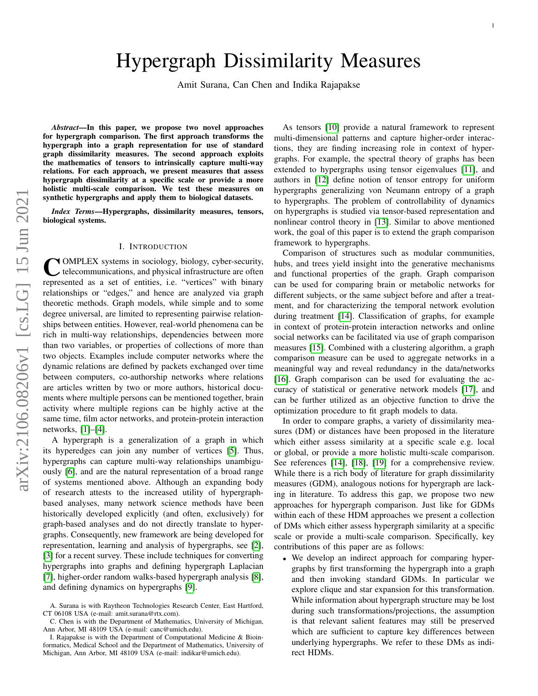# Hypergraph Dissimilarity Measures

Amit Surana, Can Chen and Indika Rajapakse

*Abstract*—In this paper, we propose two novel approaches for hypergraph comparison. The first approach transforms the hypergraph into a graph representation for use of standard graph dissimilarity measures. The second approach exploits the mathematics of tensors to intrinsically capture multi-way relations. For each approach, we present measures that assess hypergraph dissimilarity at a specific scale or provide a more holistic multi-scale comparison. We test these measures on synthetic hypergraphs and apply them to biological datasets.

*Index Terms*—Hypergraphs, dissimilarity measures, tensors, biological systems.

#### I. INTRODUCTION

COMPLEX systems in sociology, biology, cyber-security, telecommunications, and physical infrastructure are often represented as a set of entities, i.e. "vertices" with binary OMPLEX systems in sociology, biology, cyber-security, telecommunications, and physical infrastructure are often relationships or "edges," and hence are analyzed via graph theoretic methods. Graph models, while simple and to some degree universal, are limited to representing pairwise relationships between entities. However, real-world phenomena can be rich in multi-way relationships, dependencies between more than two variables, or properties of collections of more than two objects. Examples include computer networks where the dynamic relations are defined by packets exchanged over time between computers, co-authorship networks where relations are articles written by two or more authors, historical documents where multiple persons can be mentioned together, brain activity where multiple regions can be highly active at the same time, film actor networks, and protein-protein interaction networks, [\[1\]](#page-12-0)–[\[4\]](#page-12-1).

A hypergraph is a generalization of a graph in which its hyperedges can join any number of vertices [\[5\]](#page-12-2). Thus, hypergraphs can capture multi-way relationships unambiguously [\[6\]](#page-12-3), and are the natural representation of a broad range of systems mentioned above. Although an expanding body of research attests to the increased utility of hypergraphbased analyses, many network science methods have been historically developed explicitly (and often, exclusively) for graph-based analyses and do not directly translate to hypergraphs. Consequently, new framework are being developed for representation, learning and analysis of hypergraphs, see [\[2\]](#page-12-4), [\[3\]](#page-12-5) for a recent survey. These include techniques for converting hypergraphs into graphs and defining hypergraph Laplacian [\[7\]](#page-12-6), higher-order random walks-based hypergraph analysis [\[8\]](#page-12-7), and defining dynamics on hypergraphs [\[9\]](#page-12-8).

As tensors [\[10\]](#page-12-9) provide a natural framework to represent multi-dimensional patterns and capture higher-order interactions, they are finding increasing role in context of hypergraphs. For example, the spectral theory of graphs has been extended to hypergraphs using tensor eigenvalues [\[11\]](#page-12-10), and authors in [\[12\]](#page-12-11) define notion of tensor entropy for uniform hypergraphs generalizing von Neumann entropy of a graph to hypergraphs. The problem of controllability of dynamics on hypergraphs is studied via tensor-based representation and nonlinear control theory in [\[13\]](#page-12-12). Similar to above mentioned work, the goal of this paper is to extend the graph comparison framework to hypergraphs.

Comparison of structures such as modular communities, hubs, and trees yield insight into the generative mechanisms and functional properties of the graph. Graph comparison can be used for comparing brain or metabolic networks for different subjects, or the same subject before and after a treatment, and for characterizing the temporal network evolution during treatment [\[14\]](#page-12-13). Classification of graphs, for example in context of protein-protein interaction networks and online social networks can be facilitated via use of graph comparison measures [\[15\]](#page-12-14). Combined with a clustering algorithm, a graph comparison measure can be used to aggregate networks in a meaningful way and reveal redundancy in the data/networks [\[16\]](#page-12-15). Graph comparison can be used for evaluating the accuracy of statistical or generative network models [\[17\]](#page-12-16), and can be further utilized as an objective function to drive the optimization procedure to fit graph models to data.

In order to compare graphs, a variety of dissimilarity measures (DM) or distances have been proposed in the literature which either assess similarity at a specific scale e.g. local or global, or provide a more holistic multi-scale comparison. See references [\[14\]](#page-12-13), [\[18\]](#page-13-0), [\[19\]](#page-13-1) for a comprehensive review. While there is a rich body of literature for graph dissimilarity measures (GDM), analogous notions for hypergraph are lacking in literature. To address this gap, we propose two new approaches for hypergraph comparison. Just like for GDMs within each of these HDM approaches we present a collection of DMs which either assess hypergraph similarity at a specific scale or provide a multi-scale comparison. Specifically, key contributions of this paper are as follows:

• We develop an indirect approach for comparing hypergraphs by first transforming the hypergraph into a graph and then invoking standard GDMs. In particular we explore clique and star expansion for this transformation. While information about hypergraph structure may be lost during such transformations/projections, the assumption is that relevant salient features may still be preserved which are sufficient to capture key differences between underlying hypergraphs. We refer to these DMs as indirect HDMs.

A. Surana is with Raytheon Technologies Research Center, East Hartford, CT 06108 USA (e-mail: amit.surana@rtx.com).

C. Chen is with the Department of Mathematics, University of Michigan, Ann Arbor, MI 48109 USA (e-mail: canc@umich.edu).

I. Rajapakse is with the Department of Computational Medicine & Bioinformatics, Medical School and the Department of Mathematics, University of Michigan, Ann Arbor, MI 48109 USA (e-mail: indikar@umich.edu).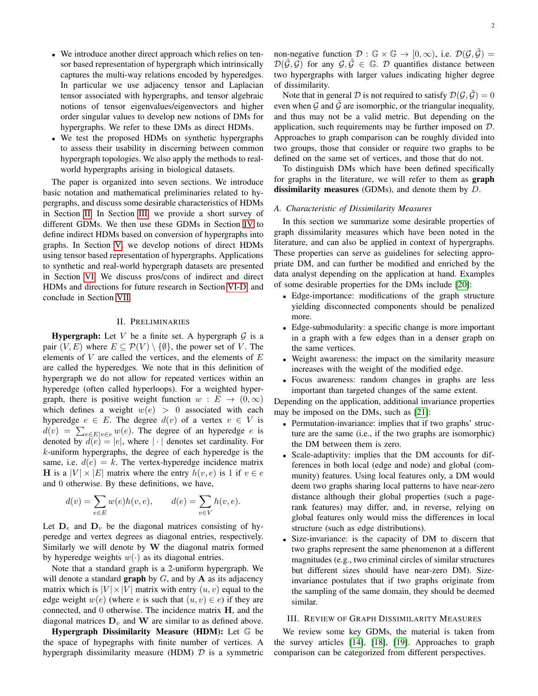- We introduce another direct approach which relies on tensor based representation of hypergraph which intrinsically captures the multi-way relations encoded by hyperedges. In particular we use adjacency tensor and Laplacian tensor associated with hypergraphs, and tensor algebraic notions of tensor eigenvalues/eigenvectors and higher order singular values to develop new notions of DMs for hypergraphs. We refer to these DMs as direct HDMs.
- We test the proposed HDMs on synthetic hypergraphs to assess their usability in discerning between common hypergraph topologies. We also apply the methods to realworld hypergraphs arising in biological datasets.

The paper is organized into seven sections. We introduce basic notation and mathematical preliminaries related to hypergraphs, and discuss some desirable characteristics of HDMs in Section [II.](#page-1-0) In Section [III,](#page-1-1) we provide a short survey of different GDMs. We then use these GDMs in Section [IV](#page-4-0) to define indirect HDMs based on conversion of hypergraphs into graphs. In Section [V,](#page-5-0) we develop notions of direct HDMs using tensor based representation of hypergraphs. Applications to synthetic and real-world hypergraph datasets are presented in Section [VI.](#page-8-0) We discuss pros/cons of indirect and direct HDMs and directions for future research in Section [VI-D,](#page-11-0) and conclude in Section [VII.](#page-12-17)

#### II. PRELIMINARIES

<span id="page-1-0"></span>**Hypergraph:** Let V be a finite set. A hypergraph  $\mathcal G$  is a pair  $(V, E)$  where  $E \subseteq \mathcal{P}(V) \setminus \{\emptyset\}$ , the power set of V. The elements of  $V$  are called the vertices, and the elements of  $E$ are called the hyperedges. We note that in this definition of hypergraph we do not allow for repeated vertices within an hyperedge (often called hyperloops). For a weighted hypergraph, there is positive weight function  $w : E \to (0, \infty)$ which defines a weight  $w(e) > 0$  associated with each hyperedge  $e \in E$ . The degree  $d(v)$  of a vertex  $v \in V$  is  $d(v) = \sum_{e \in E|v \in e} w(e)$ . The degree of an hyperedge e is denoted by  $d(e) = |e|$ , where  $|\cdot|$  denotes set cardinality. For k-uniform hypergraphs, the degree of each hyperedge is the same, i.e.  $d(e) = k$ . The vertex-hyperedge incidence matrix **H** is a  $|V| \times |E|$  matrix where the entry  $h(v, e)$  is 1 if  $v \in e$ and 0 otherwise. By these definitions, we have,

$$
d(v) = \sum_{e \in E} w(e)h(v, e), \qquad d(e) = \sum_{v \in V} h(v, e).
$$

Let  $D_e$  and  $D_v$  be the diagonal matrices consisting of hyperedge and vertex degrees as diagonal entries, respectively. Similarly we will denote by  $W$  the diagonal matrix formed by hyperedge weights  $w(\cdot)$  as its diagonal entries.

Note that a standard graph is a 2-uniform hypergraph. We will denote a standard **graph** by  $G$ , and by  $A$  as its adjacency matrix which is  $|V| \times |V|$  matrix with entry  $(u, v)$  equal to the edge weight  $w(e)$  (where e is such that  $(u, v) \in e$ ) if they are connected, and 0 otherwise. The incidence matrix H, and the diagonal matrices  $D<sub>v</sub>$  and W are similar to as defined above.

Hypergraph Dissimilarity Measure (HDM): Let G be the space of hypegraphs with finite number of vertices. A hypergraph dissimilarity measure (HDM)  $D$  is a symmetric non-negative function  $\mathcal{D}: \mathbb{G} \times \mathbb{G} \to [0, \infty)$ , i.e.  $\mathcal{D}(\mathcal{G}, \tilde{\mathcal{G}}) =$  $\mathcal{D}(\tilde{\mathcal{G}}, \mathcal{G})$  for any  $\mathcal{G}, \tilde{\mathcal{G}} \in \mathbb{G}$ . D quantifies distance between two hypergraphs with larger values indicating higher degree of dissimilarity.

Note that in general D is not required to satisfy  $\mathcal{D}(\mathcal{G}, \tilde{\mathcal{G}}) = 0$ even when  $\mathcal G$  and  $\tilde{\mathcal G}$  are isomorphic, or the triangular inequality, and thus may not be a valid metric. But depending on the application, such requirements may be further imposed on D. Approaches to graph comparison can be roughly divided into two groups, those that consider or require two graphs to be defined on the same set of vertices, and those that do not.

To distinguish DMs which have been defined specifically for graphs in the literature, we will refer to them as graph dissimilarity measures (GDMs), and denote them by D.

#### *A. Characteristic of Dissimilarity Measures*

In this section we summarize some desirable properties of graph dissimilarity measures which have been noted in the literature, and can also be applied in context of hypergraphs. These properties can serve as guidelines for selecting appropriate DM, and can further be modified and enriched by the data analyst depending on the application at hand. Examples of some desirable properties for the DMs include [\[20\]](#page-13-2):

- Edge-importance: modifications of the graph structure yielding disconnected components should be penalized more.
- Edge-submodularity: a specific change is more important in a graph with a few edges than in a denser graph on the same vertices.
- Weight awareness: the impact on the similarity measure increases with the weight of the modified edge.
- Focus awareness: random changes in graphs are less important than targeted changes of the same extent.

Depending on the application, additional invariance properties may be imposed on the DMs, such as [\[21\]](#page-13-3):

- Permutation-invariance: implies that if two graphs' structure are the same (i.e., if the two graphs are isomorphic) the DM between them is zero.
- Scale-adaptivity: implies that the DM accounts for differences in both local (edge and node) and global (community) features. Using local features only, a DM would deem two graphs sharing local patterns to have near-zero distance although their global properties (such a pagerank features) may differ, and, in reverse, relying on global features only would miss the differences in local structure (such as edge distributions).
- Size-invariance: is the capacity of DM to discern that two graphs represent the same phenomenon at a different magnitudes (e.g., two criminal circles of similar structures but different sizes should have near-zero DM). Sizeinvariance postulates that if two graphs originate from the sampling of the same domain, they should be deemed similar.

#### <span id="page-1-1"></span>III. REVIEW OF GRAPH DISSIMILARITY MEASURES

We review some key GDMs, the material is taken from the survey articles [\[14\]](#page-12-13), [\[18\]](#page-13-0), [\[19\]](#page-13-1). Approaches to graph comparison can be categorized from different perspectives.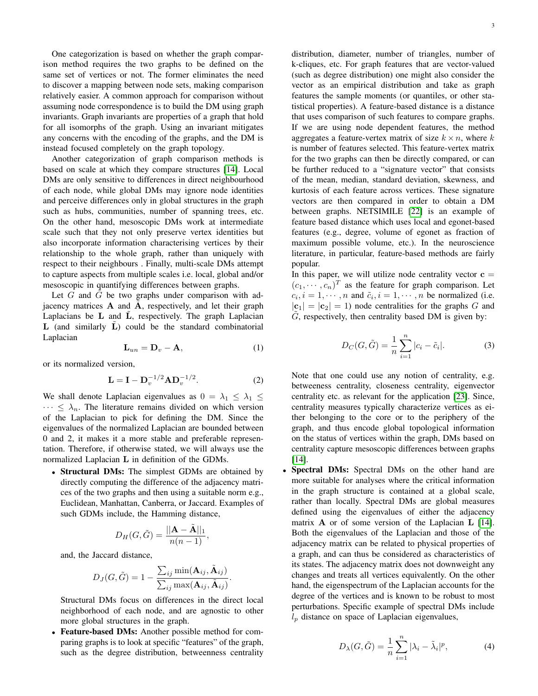One categorization is based on whether the graph comparison method requires the two graphs to be defined on the same set of vertices or not. The former eliminates the need to discover a mapping between node sets, making comparison relatively easier. A common approach for comparison without assuming node correspondence is to build the DM using graph invariants. Graph invariants are properties of a graph that hold for all isomorphs of the graph. Using an invariant mitigates any concerns with the encoding of the graphs, and the DM is instead focused completely on the graph topology.

Another categorization of graph comparison methods is based on scale at which they compare structures [\[14\]](#page-12-13). Local DMs are only sensitive to differences in direct neighbourhood of each node, while global DMs may ignore node identities and perceive differences only in global structures in the graph such as hubs, communities, number of spanning trees, etc. On the other hand, mesoscopic DMs work at intermediate scale such that they not only preserve vertex identities but also incorporate information characterising vertices by their relationship to the whole graph, rather than uniquely with respect to their neighbours . Finally, multi-scale DMs attempt to capture aspects from multiple scales i.e. local, global and/or mesoscopic in quantifying differences between graphs.

Let  $G$  and  $\tilde{G}$  be two graphs under comparison with adjacency matrices  $A$  and  $A$ , respectively, and let their graph Laplacians be  $L$  and  $\overline{L}$ , respectively. The graph Laplacian  $L$  (and similarly  $L$ ) could be the standard combinatorial Laplacian

$$
\mathbf{L}_{un} = \mathbf{D}_v - \mathbf{A},\tag{1}
$$

or its normalized version,

$$
\mathbf{L} = \mathbf{I} - \mathbf{D}_v^{-1/2} \mathbf{A} \mathbf{D}_v^{-1/2}.
$$
 (2)

We shall denote Laplacian eigenvalues as  $0 = \lambda_1 \leq \lambda_1 \leq$  $\cdots \leq \lambda_n$ . The literature remains divided on which version of the Laplacian to pick for defining the DM. Since the eigenvalues of the normalized Laplacian are bounded between 0 and 2, it makes it a more stable and preferable representation. Therefore, if otherwise stated, we will always use the normalized Laplacian L in definition of the GDMs.

• Structural DMs: The simplest GDMs are obtained by directly computing the difference of the adjacency matrices of the two graphs and then using a suitable norm e.g., Euclidean, Manhattan, Canberra, or Jaccard. Examples of such GDMs include, the Hamming distance,

$$
D_H(G,\tilde{G})=\frac{||\mathbf{A}-\tilde{\mathbf{A}}||_1}{n(n-1)},
$$

and, the Jaccard distance,

$$
D_{J}(G,\tilde{G}) = 1 - \frac{\sum_{ij} \min(\mathbf{A}_{ij}, \tilde{\mathbf{A}}_{ij})}{\sum_{ij} \max(\mathbf{A}_{ij}, \tilde{\mathbf{A}}_{ij})}.
$$

Structural DMs focus on differences in the direct local neighborhood of each node, and are agnostic to other more global structures in the graph.

• Feature-based DMs: Another possible method for comparing graphs is to look at specific "features" of the graph, such as the degree distribution, betweenness centrality

distribution, diameter, number of triangles, number of k-cliques, etc. For graph features that are vector-valued (such as degree distribution) one might also consider the vector as an empirical distribution and take as graph features the sample moments (or quantiles, or other statistical properties). A feature-based distance is a distance that uses comparison of such features to compare graphs. If we are using node dependent features, the method aggregates a feature-vertex matrix of size  $k \times n$ , where k is number of features selected. This feature-vertex matrix for the two graphs can then be directly compared, or can be further reduced to a "signature vector" that consists of the mean, median, standard deviation, skewness, and kurtosis of each feature across vertices. These signature vectors are then compared in order to obtain a DM between graphs. NETSIMILE [\[22\]](#page-13-4) is an example of feature based distance which uses local and egonet-based features (e.g., degree, volume of egonet as fraction of maximum possible volume, etc.). In the neuroscience literature, in particular, feature-based methods are fairly popular.

In this paper, we will utilize node centrality vector  $c =$  $(c_1, \dots, c_n)^T$  as the feature for graph comparison. Let  $c_i, i = 1, \dots, n$  and  $\tilde{c}_i, i = 1, \dots, n$  be normalized (i.e.  $|c_1| = |c_2| = 1$ ) node centralities for the graphs G and  $\tilde{G}$ , respectively, then centrality based DM is given by:

$$
D_C(G, \tilde{G}) = \frac{1}{n} \sum_{i=1}^{n} |c_i - \tilde{c}_i|.
$$
 (3)

Note that one could use any notion of centrality, e.g. betweeness centrality, closeness centrality, eigenvector centrality etc. as relevant for the application [\[23\]](#page-13-5). Since, centrality measures typically characterize vertices as either belonging to the core or to the periphery of the graph, and thus encode global topological information on the status of vertices within the graph, DMs based on centrality capture mesoscopic differences between graphs [\[14\]](#page-12-13).

• Spectral DMs: Spectral DMs on the other hand are more suitable for analyses where the critical information in the graph structure is contained at a global scale, rather than locally. Spectral DMs are global measures defined using the eigenvalues of either the adjacency matrix A or of some version of the Laplacian L [\[14\]](#page-12-13). Both the eigenvalues of the Laplacian and those of the adjacency matrix can be related to physical properties of a graph, and can thus be considered as characteristics of its states. The adjacency matrix does not downweight any changes and treats all vertices equivalently. On the other hand, the eigenspectrum of the Laplacian accounts for the degree of the vertices and is known to be robust to most perturbations. Specific example of spectral DMs include  $l_p$  distance on space of Laplacian eigenvalues,

$$
D_{\lambda}(G,\tilde{G}) = \frac{1}{n} \sum_{i=1}^{n} |\lambda_i - \tilde{\lambda}_i|^p, \tag{4}
$$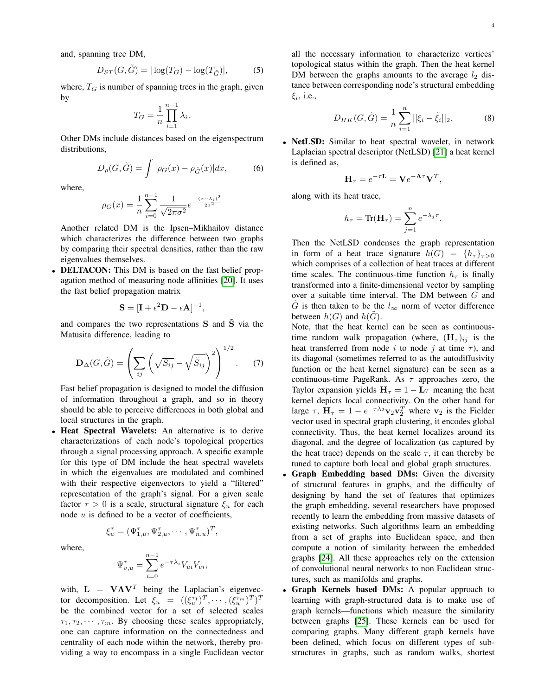and, spanning tree DM,

$$
D_{ST}(G, \tilde{G}) = |\log(T_G) - \log(T_{\tilde{G}})|,\tag{5}
$$

where,  $T_G$  is number of spanning trees in the graph, given by

$$
T_G = \frac{1}{n} \prod_{i=1}^{n-1} \lambda_i.
$$

Other DMs include distances based on the eigenspectrum distributions,

$$
D_{\rho}(G,\tilde{G}) = \int |\rho_G(x) - \rho_{\tilde{G}}(x)| dx, \tag{6}
$$

where,

$$
\rho_G(x) = \frac{1}{n} \sum_{i=0}^{n-1} \frac{1}{\sqrt{2\pi\sigma^2}} e^{-\frac{(x-\lambda_i)^2}{2\sigma^2}}
$$

Another related DM is the Ipsen–Mikhailov distance which characterizes the difference between two graphs by comparing their spectral densities, rather than the raw eigenvalues themselves.

• DELTACON: This DM is based on the fast belief propagation method of measuring node affinities [\[20\]](#page-13-2). It uses the fast belief propagation matrix

$$
\mathbf{S} = [\mathbf{I} + \epsilon^2 \mathbf{D} - \epsilon \mathbf{A}]^{-1},
$$

and compares the two representations  $S$  and  $\tilde{S}$  via the Matusita difference, leading to

$$
\mathbf{D}_{\Delta}(G,\tilde{G}) = \left(\sum_{ij} \left(\sqrt{S_{ij}} - \sqrt{\tilde{S}_{ij}}\right)^2\right)^{1/2}.
$$
 (7)

Fast belief propagation is designed to model the diffusion of information throughout a graph, and so in theory should be able to perceive differences in both global and local structures in the graph.

• Heat Spectral Wavelets: An alternative is to derive characterizations of each node's topological properties through a signal processing approach. A specific example for this type of DM include the heat spectral wavelets in which the eigenvalues are modulated and combined with their respective eigenvectors to yield a "filtered" representation of the graph's signal. For a given scale factor  $\tau > 0$  is a scale, structural signature  $\xi_u$  for each node  $u$  is defined to be a vector of coefficients,

where,

$$
\Psi_{v,u}^{\tau} = \sum_{i=0}^{n-1} e^{-\tau \lambda_i} V_{ui} V_{vi},
$$

 $\xi_u^{\tau} = (\Psi_{1,u}^{\tau}, \Psi_{2,u}^{\tau}, \cdots, \Psi_{n,u}^{\tau})^T,$ 

with,  $\mathbf{L} = \mathbf{V} \mathbf{\Lambda} \mathbf{V}^T$  being the Laplacian's eigenvector decomposition. Let  $\xi_u = ((\xi_u^{\tau_1})^T, \cdots, (\xi_u^{\tau_m})^T)^T$ be the combined vector for a set of selected scales  $\tau_1, \tau_2, \cdots, \tau_m$ . By choosing these scales appropriately, one can capture information on the connectedness and centrality of each node within the network, thereby providing a way to encompass in a single Euclidean vector all the necessary information to characterize vertices' topological status within the graph. Then the heat kernel DM between the graphs amounts to the average  $l_2$  distance between corresponding node's structural embedding  $\xi_i$ , i.e.,

$$
D_{HK}(G, \tilde{G}) = \frac{1}{n} \sum_{i=1}^{n} ||\xi_i - \tilde{\xi}_i||_2.
$$
 (8)

• NetLSD: Similar to heat spectral wavelet, in network Laplacian spectral descriptor (NetLSD) [\[21\]](#page-13-3) a heat kernel is defined as,

$$
\mathbf{H}_{\tau} = e^{-\tau \mathbf{L}} = \mathbf{V} e^{-\mathbf{\Lambda}\tau} \mathbf{V}^T,
$$

along with its heat trace,

$$
h_{\tau} = \text{Tr}(\mathbf{H}_{\tau}) = \sum_{j=1}^{n} e^{-\lambda_j \tau}.
$$

Then the NetLSD condenses the graph representation in form of a heat trace signature  $h(G) = \{h_\tau\}_{\tau>0}$ which comprises of a collection of heat traces at different time scales. The continuous-time function  $h_{\tau}$  is finally transformed into a finite-dimensional vector by sampling over a suitable time interval. The DM between G and  $\tilde{G}$  is then taken to be the  $l_{\infty}$  norm of vector difference between  $h(G)$  and  $h(G)$ .

Note, that the heat kernel can be seen as continuoustime random walk propagation (where,  $(\mathbf{H}_{\tau})_{ij}$  is the heat transferred from node i to node j at time  $\tau$ ), and its diagonal (sometimes referred to as the autodiffusivity function or the heat kernel signature) can be seen as a continuous-time PageRank. As  $\tau$  approaches zero, the Taylor expansion yields  $H_{\tau} = 1 - L\tau$  meaning the heat kernel depicts local connectivity. On the other hand for large  $\tau$ ,  $\mathbf{H}_{\tau} = 1 - e^{-\tau \lambda_2} \mathbf{v}_2 \mathbf{v}_2^T$  where  $\mathbf{v}_2$  is the Fielder vector used in spectral graph clustering, it encodes global connectivity. Thus, the heat kernel localizes around its diagonal, and the degree of localization (as captured by the heat trace) depends on the scale  $\tau$ , it can thereby be tuned to capture both local and global graph structures.

- Graph Embedding based DMs: Given the diversity of structural features in graphs, and the difficulty of designing by hand the set of features that optimizes the graph embedding, several researchers have proposed recently to learn the embedding from massive datasets of existing networks. Such algorithms learn an embedding from a set of graphs into Euclidean space, and then compute a notion of similarity between the embedded graphs [\[24\]](#page-13-6). All these approaches rely on the extension of convolutional neural networks to non Euclidean structures, such as manifolds and graphs.
- Graph Kernels based DMs: A popular approach to learning with graph-structured data is to make use of graph kernels—functions which measure the similarity between graphs [\[25\]](#page-13-7). These kernels can be used for comparing graphs. Many different graph kernels have been defined, which focus on different types of substructures in graphs, such as random walks, shortest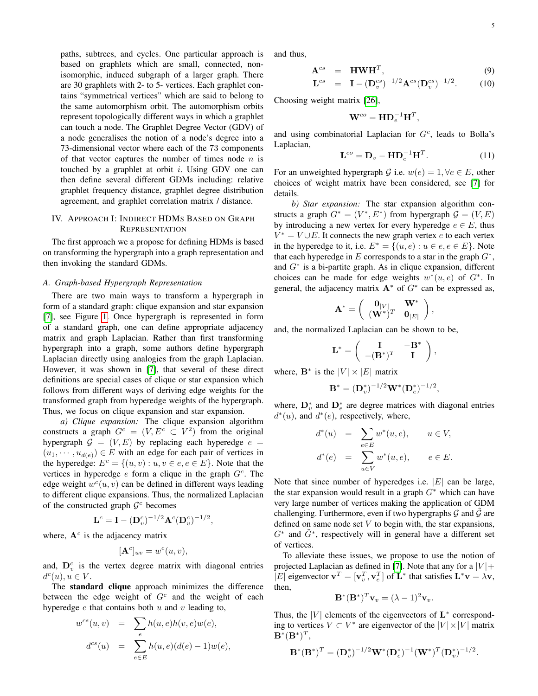paths, subtrees, and cycles. One particular approach is based on graphlets which are small, connected, nonisomorphic, induced subgraph of a larger graph. There are 30 graphlets with 2- to 5- vertices. Each graphlet contains "symmetrical vertices" which are said to belong to the same automorphism orbit. The automorphism orbits represent topologically different ways in which a graphlet can touch a node. The Graphlet Degree Vector (GDV) of a node generalises the notion of a node's degree into a 73-dimensional vector where each of the 73 components of that vector captures the number of times node  $n$  is touched by a graphlet at orbit  $i$ . Using GDV one can then define several different GDMs including: relative graphlet frequency distance, graphlet degree distribution agreement, and graphlet correlation matrix / distance.

# <span id="page-4-0"></span>IV. APPROACH I: INDIRECT HDMS BASED ON GRAPH **REPRESENTATION**

The first approach we a propose for defining HDMs is based on transforming the hypergraph into a graph representation and then invoking the standard GDMs.

#### *A. Graph-based Hypergraph Representation*

There are two main ways to transform a hypergraph in form of a standard graph: clique expansion and star expansion [\[7\]](#page-12-6), see Figure [1.](#page-5-1) Once hypergraph is represented in form of a standard graph, one can define appropriate adjacency matrix and graph Laplacian. Rather than first transforming hypergraph into a graph, some authors define hypergraph Laplacian directly using analogies from the graph Laplacian. However, it was shown in [\[7\]](#page-12-6), that several of these direct definitions are special cases of clique or star expansion which follows from different ways of deriving edge weights for the transformed graph from hyperedge weights of the hypergraph. Thus, we focus on clique expansion and star expansion.

*a) Clique expansion:* The clique expansion algorithm constructs a graph  $G^c = (V, E^c \subset V^2)$  from the original hypergraph  $G = (V, E)$  by replacing each hyperedge  $e =$  $(u_1, \dots, u_{d(e)}) \in E$  with an edge for each pair of vertices in the hyperedge:  $E^c = \{(u, v) : u, v \in e, e \in E\}$ . Note that the vertices in hyperedge  $e$  form a clique in the graph  $G<sup>c</sup>$ . The edge weight  $w<sup>c</sup>(u, v)$  can be defined in different ways leading to different clique expansions. Thus, the normalized Laplacian of the constructed graph  $\mathcal{G}^c$  becomes

$$
\mathbf{L}^c = \mathbf{I} - (\mathbf{D}_v^c)^{-1/2} \mathbf{A}^c (\mathbf{D}_v^c)^{-1/2},
$$

where,  $A<sup>c</sup>$  is the adjacency matrix

$$
[\mathbf{A}^c]_{uv} = w^c(u, v),
$$

and,  $\mathbf{D}_v^c$  is the vertex degree matrix with diagonal entries  $d^c(u), u \in V.$ 

The standard clique approach minimizes the difference between the edge weight of  $G<sup>c</sup>$  and the weight of each hyperedge  $e$  that contains both  $u$  and  $v$  leading to,

$$
w^{cs}(u, v) = \sum_{e} h(u, e)h(v, e)w(e),
$$
  

$$
d^{cs}(u) = \sum_{e \in E} h(u, e)(d(e) - 1)w(e),
$$

and thus,

<span id="page-4-1"></span>
$$
\mathbf{A}^{cs} = \mathbf{HWH}^T, \tag{9}
$$

$$
\mathbf{L}^{cs} = \mathbf{I} - (\mathbf{D}_v^{cs})^{-1/2} \mathbf{A}^{cs} (\mathbf{D}_v^{cs})^{-1/2}.
$$
 (10)

Choosing weight matrix [\[26\]](#page-13-8),

$$
\mathbf{W}^{co} = \mathbf{H} \mathbf{D}_e^{-1} \mathbf{H}^T,
$$

and using combinatorial Laplacian for  $G<sup>c</sup>$ , leads to Bolla's Laplacian,

$$
\mathbf{L}^{co} = \mathbf{D}_v - \mathbf{H} \mathbf{D}_e^{-1} \mathbf{H}^T.
$$
 (11)

,

For an unweighted hypergraph G i.e.  $w(e) = 1, \forall e \in E$ , other choices of weight matrix have been considered, see [\[7\]](#page-12-6) for details.

*b) Star expansion:* The star expansion algorithm constructs a graph  $G^* = (V^*, E^*)$  from hypergraph  $G = (V, E)$ by introducing a new vertex for every hyperedge  $e \in E$ , thus  $V^* = V \cup E$ . It connects the new graph vertex e to each vertex in the hyperedge to it, i.e.  $E^* = \{(u, e) : u \in e, e \in E\}$ . Note that each hyperedge in  $E$  corresponds to a star in the graph  $G^*$ , and G<sup>∗</sup> is a bi-partite graph. As in clique expansion, different choices can be made for edge weights  $w^*(u, e)$  of  $G^*$ . In general, the adjacency matrix  $\mathbf{A}^*$  of  $G^*$  can be expressed as,

$$
\mathbf{A}^* = \left(\begin{array}{cc} \mathbf{0}_{|V|} & \mathbf{W}^* \\ (\mathbf{W}^*)^T & \mathbf{0}_{|E|}\end{array}\right)
$$

and, the normalized Laplacian can be shown to be,

$$
\mathbf{L}^* = \left( \begin{array}{cc} \mathbf{I} & -\mathbf{B}^* \\ -(\mathbf{B}^*)^T & \mathbf{I} \end{array} \right),
$$

where,  $\mathbf{B}^*$  is the  $|V| \times |E|$  matrix

$$
\mathbf{B}^* = (\mathbf{D}_v^*)^{-1/2} \mathbf{W}^* (\mathbf{D}_e^*)^{-1/2},
$$

where,  $\mathbf{D}_{v}^{*}$  and  $\mathbf{D}_{e}^{*}$  are degree matrices with diagonal entries  $d^*(u)$ , and  $d^*(e)$ , respectively, where,

$$
d^*(u) = \sum_{e \in E} w^*(u, e), \qquad u \in V,
$$
  

$$
d^*(e) = \sum_{u \in V} w^*(u, e), \qquad e \in E.
$$

Note that since number of hyperedges i.e.  $|E|$  can be large, the star expansion would result in a graph  $G^*$  which can have very large number of vertices making the application of GDM challenging. Furthermore, even if two hypergraphs  $\mathcal G$  and  $\tilde{\mathcal G}$  are defined on same node set  $V$  to begin with, the star expansions,  $G^*$  and  $\tilde{G}^*$ , respectively will in general have a different set of vertices.

To alleviate these issues, we propose to use the notion of projected Laplacian as defined in [\[7\]](#page-12-6). Note that any for a  $|V|$  + |E| eigenvector  $\mathbf{v}^T = [\mathbf{v}_v^T, \mathbf{v}_e^T]$  of  $\mathbf{L}^*$  that satisfies  $\mathbf{L}^* \mathbf{v} = \lambda \mathbf{v}$ , then,

$$
\mathbf{B}^*(\mathbf{B}^*)^T \mathbf{v}_v = (\lambda - 1)^2 \mathbf{v}_v.
$$

Thus, the  $|V|$  elements of the eigenvectors of  $L^*$  corresponding to vertices  $V \subset V^*$  are eigenvector of the  $|V| \times |V|$  matrix  $\mathbf{B}^*(\mathbf{B}^*)^T$ 

$$
\mathbf{B}^*(\mathbf{B}^*)^T = (\mathbf{D}_v^*)^{-1/2} \mathbf{W}^*(\mathbf{D}_e^*)^{-1} (\mathbf{W}^*)^T (\mathbf{D}_v^*)^{-1/2}.
$$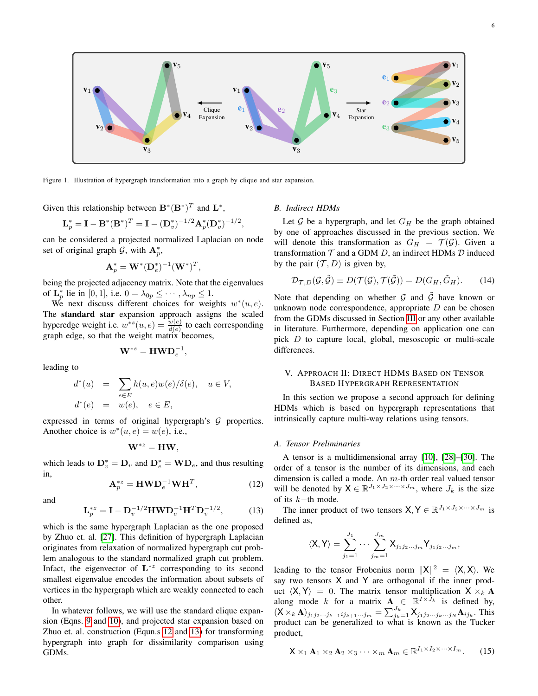

<span id="page-5-1"></span>Figure 1. Illustration of hypergraph transformation into a graph by clique and star expansion.

Given this relationship between  $\mathbf{B}^*(\mathbf{B}^*)^T$  and  $\mathbf{L}^*$ ,

$$
\mathbf{L}_p^* = \mathbf{I} - \mathbf{B}^*(\mathbf{B}^*)^T = \mathbf{I} - (\mathbf{D}_v^*)^{-1/2} \mathbf{A}_p^*(\mathbf{D}_v^*)^{-1/2},
$$

can be considered a projected normalized Laplacian on node set of original graph  $G$ , with  $A_p^*$ ,

$$
\mathbf{A}_p^* = \mathbf{W}^*(\mathbf{D}_e^*)^{-1}(\mathbf{W}^*)^T,
$$

being the projected adjacency matrix. Note that the eigenvalues of  $\mathbf{L}_p^*$  lie in [0, 1], i.e.  $0 = \lambda_{0p} \leq \cdots, \lambda_{np} \leq 1$ .

We next discuss different choices for weights  $w^*(u, e)$ . The standard star expansion approach assigns the scaled hyperedge weight i.e.  $w^{*s}(u, e) = \frac{w(e)}{d(e)}$  to each corresponding graph edge, so that the weight matrix becomes,

$$
\mathbf{W}^{*s} = \mathbf{H}\mathbf{W}\mathbf{D}_e^{-1},
$$

leading to

$$
d^*(u) = \sum_{e \in E} h(u, e)w(e)/\delta(e), \quad u \in V,
$$
  

$$
d^*(e) = w(e), \quad e \in E,
$$

expressed in terms of original hypergraph's  $G$  properties. Another choice is  $w^*(u, e) = w(e)$ , i.e.,

$$
\mathbf{W}^{*z} = \mathbf{H}\mathbf{W},
$$

which leads to  $\mathbf{D}_{v}^{*} = \mathbf{D}_{v}$  and  $\mathbf{D}_{e}^{*} = \mathbf{W} \mathbf{D}_{e}$ , and thus resulting in,

<span id="page-5-2"></span>
$$
\mathbf{A}_p^{*z} = \mathbf{H}\mathbf{W}\mathbf{D}_e^{-1}\mathbf{W}\mathbf{H}^T,\tag{12}
$$

and

<span id="page-5-3"></span>
$$
\mathbf{L}_p^{*z} = \mathbf{I} - \mathbf{D}_v^{-1/2} \mathbf{H} \mathbf{W} \mathbf{D}_e^{-1} \mathbf{H}^T \mathbf{D}_v^{-1/2},\tag{13}
$$

which is the same hypergraph Laplacian as the one proposed by Zhuo et. al. [\[27\]](#page-13-9). This definition of hypergraph Laplacian originates from relaxation of normalized hypergraph cut problem analogous to the standard normalized graph cut problem. Infact, the eigenvector of  $L^{*z}$  corresponding to its second smallest eigenvalue encodes the information about subsets of vertices in the hypergraph which are weakly connected to each other.

In whatever follows, we will use the standard clique expansion (Eqns. [9](#page-4-1) and [10\)](#page-4-1), and projected star expansion based on Zhuo et. al. construction (Equn.s [12](#page-5-2) and [13\)](#page-5-3) for transforming hypergraph into graph for dissimilarity comparison using GDMs.

#### *B. Indirect HDMs*

Let  $G$  be a hypergraph, and let  $G_H$  be the graph obtained by one of approaches discussed in the previous section. We will denote this transformation as  $G_H = \mathcal{T}(\mathcal{G})$ . Given a transformation  $T$  and a GDM  $D$ , an indirect HDMs  $D$  induced by the pair  $(\mathcal{T}, D)$  is given by,

$$
\mathcal{D}_{\mathcal{T},D}(\mathcal{G},\tilde{\mathcal{G}}) \equiv D(\mathcal{T}(\mathcal{G}),\mathcal{T}(\tilde{\mathcal{G}})) = D(G_H,\tilde{G}_H). \tag{14}
$$

Note that depending on whether  $G$  and  $\tilde{G}$  have known or unknown node correspondence, appropriate  $D$  can be chosen from the GDMs discussed in Section [III](#page-1-1) or any other available in literature. Furthermore, depending on application one can pick D to capture local, global, mesoscopic or multi-scale differences.

## <span id="page-5-0"></span>V. APPROACH II: DIRECT HDMS BASED ON TENSOR BASED HYPERGRAPH REPRESENTATION

In this section we propose a second approach for defining HDMs which is based on hypergraph representations that intrinsically capture multi-way relations using tensors.

#### *A. Tensor Preliminaries*

A tensor is a multidimensional array [\[10\]](#page-12-9), [\[28\]](#page-13-10)–[\[30\]](#page-13-11). The order of a tensor is the number of its dimensions, and each dimension is called a mode. An m-th order real valued tensor will be denoted by  $X \in \mathbb{R}^{J_1 \times J_2 \times \cdots \times J_m}$ , where  $J_k$  is the size of its k−th mode.

The inner product of two tensors  $X, Y \in \mathbb{R}^{J_1 \times J_2 \times \cdots \times J_m}$  is defined as,

$$
\langle \mathsf{X}, \mathsf{Y} \rangle = \sum_{j_1=1}^{J_1} \cdots \sum_{j_m=1}^{J_m} \mathsf{X}_{j_1 j_2 \ldots j_m} \mathsf{Y}_{j_1 j_2 \ldots j_m},
$$

leading to the tensor Frobenius norm  $||X||^2 = \langle X, X \rangle$ . We say two tensors X and Y are orthogonal if the inner product  $\langle X, Y \rangle = 0$ . The matrix tensor multiplication  $X \times_k A$ along mode k for a matrix  $\mathbf{A} \in \mathbb{R}^{I \times \bar{J}_k}$  is defined by,  $(X \times_k \mathbf{A})_{j_1 j_2 ... j_{k-1} i j_{k+1} ... j_m} = \sum_{j_k=1}^{J_k} \mathbf{X}_{j_1 j_2 ... j_k ... j_N} \mathbf{A}_{i j_k}$ . This product can be generalized to what is known as the Tucker product,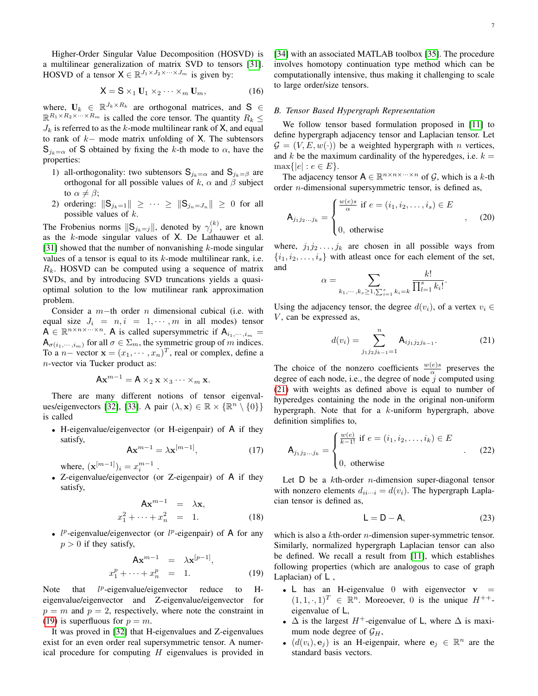Higher-Order Singular Value Decomposition (HOSVD) is a multilinear generalization of matrix SVD to tensors [\[31\]](#page-13-12). HOSVD of a tensor  $X \in \mathbb{R}^{J_1 \times J_2 \times \cdots \times J_m}$  is given by:

$$
\mathsf{X} = \mathsf{S} \times_1 \mathbf{U}_1 \times_2 \cdots \times_m \mathbf{U}_m, \tag{16}
$$

where,  $U_k \in \mathbb{R}^{J_k \times R_k}$  are orthogonal matrices, and S  $\in$  $\mathbb{R}^{R_1 \times R_2 \times \cdots \times R_m}$  is called the core tensor. The quantity  $R_k \leq$  $J_k$  is referred to as the k-mode multilinear rank of X, and equal to rank of k− mode matrix unfolding of X. The subtensors  $S_{j_k=\alpha}$  of S obtained by fixing the k-th mode to  $\alpha$ , have the properties:

- 1) all-orthogonality: two subtensors  $S_{j_k=\alpha}$  and  $S_{j_k=\beta}$  are orthogonal for all possible values of k,  $\alpha$  and  $\beta$  subject to  $\alpha \neq \beta$ ;
- 2) ordering:  $\|\mathsf{S}_{j_k=1}\| \geq \cdots \geq \|\mathsf{S}_{j_n=J_n}\| \geq 0$  for all possible values of  $k$ .

The Frobenius norms  $||S_{j_k=j}||$ , denoted by  $\gamma_j^{(k)}$ , are known as the  $k$ -mode singular values of  $X$ . De Lathauwer et al. [\[31\]](#page-13-12) showed that the number of nonvanishing  $k$ -mode singular values of a tensor is equal to its  $k$ -mode multilinear rank, i.e.  $R_k$ . HOSVD can be computed using a sequence of matrix SVDs, and by introducing SVD truncations yields a quasioptimal solution to the low mutilinear rank approximation problem.

Consider a  $m$ −th order  $n$  dimensional cubical (i.e. with equal size  $J_i = n, i = 1, \dots, m$  in all modes) tensor  $A \in \mathbb{R}^{n \times n \times \dots \times n}$ . A is called supersymmetric if  $A_{i_1,\dots,i_m}$  =  $A_{\sigma(i_1,\dots,i_m)}$  for all  $\sigma \in \Sigma_m$ , the symmetric group of m indices. To a *n* – vector  $\mathbf{x} = (x_1, \dots, x_n)^T$ , real or complex, define a n-vector via Tucker product as:

$$
Ax^{m-1} = A \times_2 x \times_3 \cdots \times_m x.
$$

There are many different notions of tensor eigenval-ues/eigenvectors [\[32\]](#page-13-13), [\[33\]](#page-13-14). A pair  $(\lambda, \mathbf{x}) \in \mathbb{R} \times \{ \mathbb{R}^n \setminus \{0\} \}$ is called

• H-eigenvalue/eigenvector (or H-eigenpair) of A if they satisfy,

$$
\mathbf{A}\mathbf{x}^{m-1} = \lambda \mathbf{x}^{[m-1]},\tag{17}
$$

where,  $({\bf x}^{[m-1]})_i = x_i^{m-1}$ .

• Z-eigenvalue/eigenvector (or Z-eigenpair) of A if they satisfy,

$$
\mathbf{A}\mathbf{x}^{m-1} = \lambda \mathbf{x},
$$
  

$$
x_1^2 + \dots + x_n^2 = 1.
$$
 (18)

•  $l^p$ -eigenvalue/eigenvector (or  $l^p$ -eigenpair) of A for any  $p > 0$  if they satisfy,

<span id="page-6-0"></span>
$$
\mathbf{A}\mathbf{x}^{m-1} = \lambda \mathbf{x}^{[p-1]},
$$
  

$$
x_1^p + \dots + x_n^p = 1.
$$
 (19)

Note that  $l^p$ -eigenvalue/eigenvector reduce to Heigenvalue/eigenvector and Z-eigenvalue/eigenvector for  $p = m$  and  $p = 2$ , respectively, where note the constraint in [\(19\)](#page-6-0) is superfluous for  $p = m$ .

It was proved in [\[32\]](#page-13-13) that H-eigenvalues and Z-eigenvalues exist for an even order real supersymmetric tensor. A numerical procedure for computing  $H$  eigenvalues is provided in [\[34\]](#page-13-15) with an associated MATLAB toolbox [\[35\]](#page-13-16). The procedure involves homotopy continuation type method which can be computationally intensive, thus making it challenging to scale to large order/size tensors.

#### *B. Tensor Based Hypergraph Representation*

 $\alpha$ 

We follow tensor based formulation proposed in [\[11\]](#page-12-10) to define hypergraph adjacency tensor and Laplacian tensor. Let  $\mathcal{G} = (V, E, w(\cdot))$  be a weighted hypergraph with *n* vertices, and k be the maximum cardinality of the hyperedges, i.e.  $k =$  $\max\{|e| : e \in E\}.$ 

The adjacency tensor  $A \in \mathbb{R}^{n \times n \times \dots \times n}$  of G, which is a k-th order n-dimensional supersymmetric tensor, is defined as,

$$
\mathbf{A}_{j_1 j_2 \dots j_k} = \begin{cases} \frac{w(e)s}{\alpha} & \text{if } e = (i_1, i_2, \dots, i_s) \in E \\ 0, & \text{otherwise} \end{cases}
$$
 (20)

where,  $j_1 j_2 \ldots, j_k$  are chosen in all possible ways from  $\{i_1, i_2, \ldots, i_s\}$  with at least once for each element of the set, and

$$
= \sum_{k_1,\dots,k_s \ge 1, \sum_{i=1}^s k_i = k} \frac{k!}{\prod_{l=1}^s k_l!}.
$$

Using the adjacency tensor, the degree  $d(v_i)$ , of a vertex  $v_i \in$  $V$ , can be expressed as,

<span id="page-6-1"></span>
$$
d(v_i) = \sum_{j_1 j_2 j_{k-1} = 1}^{n} \mathsf{A}_{ij_1 j_2 j_{k-1}}.
$$
 (21)

The choice of the nonzero coefficients  $\frac{w(e)s}{\alpha}$  preserves the degree of each node, i.e., the degree of node  $j$  computed using [\(21\)](#page-6-1) with weights as defined above is equal to number of hyperedges containing the node in the original non-uniform hypergraph. Note that for a k-uniform hypergraph, above definition simplifies to,

$$
\mathbf{A}_{j_1 j_2 \dots j_k} = \begin{cases} \frac{w(e)}{k-1!} & \text{if } e = (i_1, i_2, \dots, i_k) \in E \\ 0, & \text{otherwise} \end{cases}
$$
 (22)

Let  $D$  be a kth-order *n*-dimension super-diagonal tensor with nonzero elements  $d_{ii\cdots i} = d(v_i)$ . The hypergraph Laplacian tensor is defined as,

$$
L = D - A, \tag{23}
$$

which is also a kth-order *n*-dimension super-symmetric tensor. Similarly, normalized hypergraph Laplacian tensor can also be defined. We recall a result from [\[11\]](#page-12-10), which establishes following properties (which are analogous to case of graph Laplacian) of  $\mathsf{L}$ ,

- L has an H-eigenvalue 0 with eigenvector  $v =$  $(1, 1, \cdot, 1)^T \in \mathbb{R}^n$ . Moreoever, 0 is the unique  $H^{++}$ eigenvalue of L,
- $\Delta$  is the largest H<sup>+</sup>-eigenvalue of L, where  $\Delta$  is maximum node degree of  $\mathcal{G}_H$ ,
- $(d(v_i), e_j)$  is an H-eigenpair, where  $e_j \in \mathbb{R}^n$  are the standard basis vectors.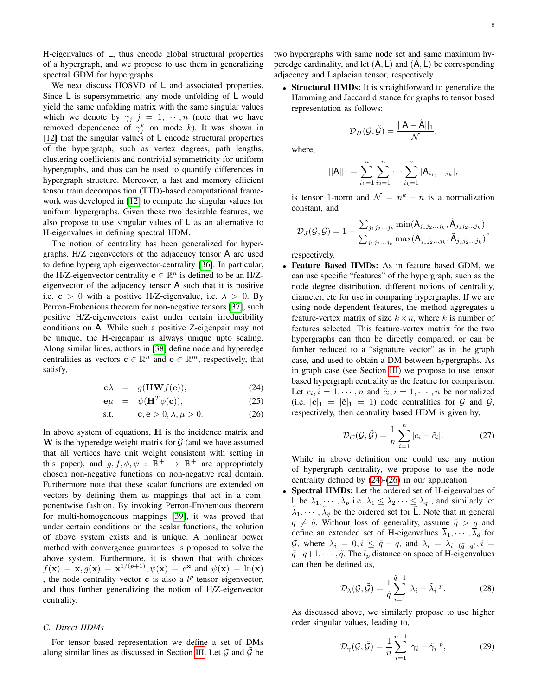H-eigenvalues of L, thus encode global structural properties of a hypergraph, and we propose to use them in generalizing spectral GDM for hypergraphs.

We next discuss HOSVD of L and associated properties. Since L is supersymmetric, any mode unfolding of L would yield the same unfolding matrix with the same singular values which we denote by  $\gamma_j$ ,  $j = 1, \dots, n$  (note that we have removed dependence of  $\gamma_j^k$  on mode k). It was shown in [\[12\]](#page-12-11) that the singular values of L encode structural properties of the hypergraph, such as vertex degrees, path lengths, clustering coefficients and nontrivial symmetricity for uniform hypergraphs, and thus can be used to quantify differences in hypergraph structure. Moreover, a fast and memory efficient tensor train decomposition (TTD)-based computational framework was developed in [\[12\]](#page-12-11) to compute the singular values for uniform hypergraphs. Given these two desirable features, we also propose to use singular values of  $\mathsf{L}$  as an alternative to H-eigenvalues in defining spectral HDM.

The notion of centrality has been generalized for hypergraphs. H/Z eigenvectors of the adjacency tensor A are used to define hypergraph eigenvector-centrality [\[36\]](#page-13-17). In particular, the H/Z-eigenvector centrality  $c \in \mathbb{R}^n$  is defined to be an H/Zeigenvector of the adjacency tensor A such that it is positive i.e.  $c > 0$  with a positive H/Z-eigenvalue, i.e.  $\lambda > 0$ . By Perron-Frobenious theorem for non-negative tensors [\[37\]](#page-13-18), such positive H/Z-eigenvectors exist under certain irreducibility conditions on A. While such a positive Z-eigenpair may not be unique, the H-eigenpair is always unique upto scaling. Along similar lines, authors in [\[38\]](#page-13-19) define node and hyperedge centralities as vectors  $\mathbf{c} \in \mathbb{R}^n$  and  $\mathbf{e} \in \mathbb{R}^m$ , respectively, that satisfy,

<span id="page-7-0"></span>
$$
\mathbf{c}\lambda = g(\mathbf{H}\mathbf{W}f(\mathbf{e})), \tag{24}
$$

$$
\mathbf{e}\mu = \psi(\mathbf{H}^T \phi(\mathbf{c})), \tag{25}
$$

$$
s.t. \t\t\t\mathbf{c}, \mathbf{e} > 0, \lambda, \mu > 0. \t\t(26)
$$

In above system of equations,  $H$  is the incidence matrix and W is the hyperedge weight matrix for  $\mathcal G$  (and we have assumed that all vertices have unit weight consistent with setting in this paper), and  $g, f, \phi, \psi : \mathbb{R}^+ \to \mathbb{R}^+$  are appropriately chosen non-negative functions on non-negative real domain. Furthermore note that these scalar functions are extended on vectors by defining them as mappings that act in a componentwise fashion. By invoking Perron-Frobenious theorem for multi-homogeneous mappings [\[39\]](#page-13-20), it was proved that under certain conditions on the scalar functions, the solution of above system exists and is unique. A nonlinear power method with convergence guarantees is proposed to solve the above system. Furthermore, it is shown that with choices  $f(\mathbf{x}) = \mathbf{x}, g(\mathbf{x}) = \mathbf{x}^{1/(p+1)}, \psi(\mathbf{x}) = e^{\mathbf{x}}$  and  $\psi(\mathbf{x}) = \ln(\mathbf{x})$ , the node centrality vector  $\bf{c}$  is also a  $l^p$ -tensor eigenvector, and thus further generalizing the notion of H/Z-eigenvector centrality.

## *C. Direct HDMs*

For tensor based representation we define a set of DMs along similar lines as discussed in Section [III.](#page-1-1) Let  $G$  and  $G$  be two hypergraphs with same node set and same maximum hyperedge cardinality, and let  $(A, L)$  and  $(\tilde{A}, \tilde{L})$  be corresponding adjacency and Laplacian tensor, respectively.

• Structural HMDs: It is straightforward to generalize the Hamming and Jaccard distance for graphs to tensor based representation as follows:

$$
\mathcal{D}_H(\mathcal{G},\tilde{\mathcal{G}})=\frac{||\mathsf{A}-\tilde{\mathsf{A}}||_1}{\mathcal{N}},
$$

where,

$$
||A||_1 = \sum_{i_1=1}^n \sum_{i_2=1}^n \cdots \sum_{i_k=1}^n |A_{i_1,\cdots,i_k}|,
$$

is tensor 1-norm and  $\mathcal{N} = n^k - n$  is a normalization constant, and

$$
\mathcal{D}_J(\mathcal{G},\tilde{\mathcal{G}})=1-\frac{\sum_{j_1j_2...j_k}\min(\mathsf{A}_{j_1j_2...j_k},\tilde{\mathsf{A}}_{j_1j_2...j_k})}{\sum_{j_1j_2...j_k}\max(\mathsf{A}_{j_1j_2...j_k},\tilde{\mathsf{A}}_{j_1j_2...j_k})},
$$

respectively.

• Feature Based HMDs: As in feature based GDM, we can use specific "features" of the hypergraph, such as the node degree distribution, different notions of centrality, diameter, etc for use in comparing hypergraphs. If we are using node dependent features, the method aggregates a feature-vertex matrix of size  $k \times n$ , where k is number of features selected. This feature-vertex matrix for the two hypergraphs can then be directly compared, or can be further reduced to a "signature vector" as in the graph case, and used to obtain a DM between hypergraphs. As in graph case (see Section [III\)](#page-1-1) we propose to use tensor based hypergraph centrality as the feature for comparison. Let  $c_i$ ,  $i = 1, \dots, n$  and  $\tilde{c}_i$ ,  $i = 1, \dots, n$  be normalized (i.e.  $|c|_1 = |\tilde{c}|_1 = 1$ ) node centralities for  $\mathcal G$  and  $\tilde{\mathcal G}$ , respectively, then centrality based HDM is given by,

$$
\mathcal{D}_C(\mathcal{G}, \tilde{\mathcal{G}}) = \frac{1}{n} \sum_{i=1}^n |c_i - \tilde{c}_i|.
$$
 (27)

While in above definition one could use any notion of hypergraph centrality, we propose to use the node centrality defined by [\(24\)](#page-7-0)-[\(26\)](#page-7-0) in our application.

Spectral HMDs: Let the ordered set of H-eigenvalues of L be  $\lambda_1, \dots, \lambda_p$  i.e.  $\lambda_1 \leq \lambda_2 \dots \leq \lambda_q$ , and similarly let  $\tilde{\lambda}_1, \cdots, \tilde{\lambda}_{\tilde{q}}$  be the ordered set for  $\tilde{L}$ . Note that in general  $q \neq \tilde{q}$ . Without loss of generality, assume  $\tilde{q} > q$  and define an extended set of H-eigenvalues  $\overline{\lambda}_1, \cdots, \overline{\lambda}_{\tilde{q}}$  for G, where  $\lambda_i = 0, i \leq \tilde{q} - q$ , and  $\lambda_i = \lambda_{i-(\tilde{q}-q)}, i =$  $\tilde{q}$ −q+1, · · · ,  $\tilde{q}$ . The  $l_p$  distance on space of H-eigenvalues can then be defined as,

$$
\mathcal{D}_{\lambda}(\mathcal{G}, \tilde{\mathcal{G}}) = \frac{1}{\tilde{q}} \sum_{i=1}^{\tilde{q}-1} |\lambda_i - \tilde{\lambda}_i|^p.
$$
 (28)

As discussed above, we similarly propose to use higher order singular values, leading to,

$$
\mathcal{D}_{\gamma}(\mathcal{G}, \tilde{\mathcal{G}}) = \frac{1}{n} \sum_{i=1}^{n-1} |\gamma_i - \tilde{\gamma}_i|^p, \tag{29}
$$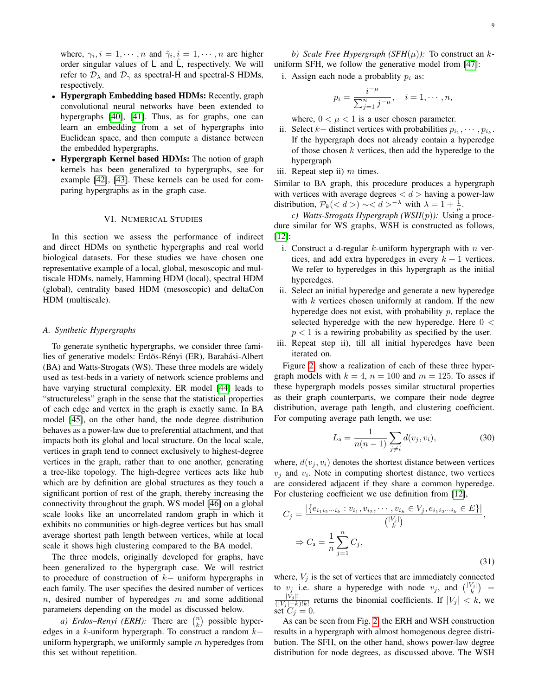9

where,  $\gamma_i$ ,  $i = 1, \dots, n$  and  $\tilde{\gamma}_i$ ,  $i = 1, \dots, n$  are higher order singular values of  $L$  and  $L$ , respectively. We will refer to  $\mathcal{D}_{\lambda}$  and  $\mathcal{D}_{\gamma}$  as spectral-H and spectral-S HDMs, respectively.

- Hypergraph Embedding based HDMs: Recently, graph convolutional neural networks have been extended to hypergraphs [\[40\]](#page-13-21), [\[41\]](#page-13-22). Thus, as for graphs, one can learn an embedding from a set of hypergraphs into Euclidean space, and then compute a distance between the embedded hypergraphs.
- Hypergraph Kernel based HDMs: The notion of graph kernels has been generalized to hypergraphs, see for example [\[42\]](#page-13-23), [\[43\]](#page-13-24). These kernels can be used for comparing hypergraphs as in the graph case.

#### VI. NUMERICAL STUDIES

<span id="page-8-0"></span>In this section we assess the performance of indirect and direct HDMs on synthetic hypergraphs and real world biological datasets. For these studies we have chosen one representative example of a local, global, mesoscopic and multiscale HDMs, namely, Hamming HDM (local), spectral HDM (global), centrality based HDM (mesoscopic) and deltaCon HDM (multiscale).

#### *A. Synthetic Hypergraphs*

To generate synthetic hypergraphs, we consider three families of generative models: Erdös-Rényi (ER), Barabási-Albert (BA) and Watts-Strogats (WS). These three models are widely used as test-beds in a variety of network science problems and have varying structural complexity. ER model [\[44\]](#page-13-25) leads to "structureless" graph in the sense that the statistical properties of each edge and vertex in the graph is exactly same. In BA model [\[45\]](#page-13-26), on the other hand, the node degree distribution behaves as a power-law due to preferential attachment, and that impacts both its global and local structure. On the local scale, vertices in graph tend to connect exclusively to highest-degree vertices in the graph, rather than to one another, generating a tree-like topology. The high-degree vertices acts like hub which are by definition are global structures as they touch a significant portion of rest of the graph, thereby increasing the connectivity throughout the graph. WS model [\[46\]](#page-13-27) on a global scale looks like an uncorrelated random graph in which it exhibits no communities or high-degree vertices but has small average shortest path length between vertices, while at local scale it shows high clustering compared to the BA model.

The three models, originally developed for graphs, have been generalized to the hypergraph case. We will restrict to procedure of construction of  $k-$  uniform hypergraphs in each family. The user specifies the desired number of vertices  $n$ , desired number of hyperedges  $m$  and some additional parameters depending on the model as discussed below.

*a) Erdos–Renyi (ERH)*: There are  $\binom{n}{k}$  possible hyperedges in a k-uniform hypergraph. To construct a random  $k$ uniform hypergraph, we uniformly sample  $m$  hyperedges from this set without repetition.

*b)* Scale Free Hypergraph (SFH( $\mu$ )): To construct an kuniform SFH, we follow the generative model from [\[47\]](#page-13-28):

i. Assign each node a probablity  $p_i$  as:

$$
p_i = \frac{i^{-\mu}}{\sum_{j=1}^n j^{-\mu}}, \quad i = 1, \cdots, n,
$$

where,  $0 < \mu < 1$  is a user chosen parameter.

- ii. Select  $k-$  distinct vertices with probabilities  $p_{i_1}, \dots, p_{i_k}$ . If the hypergraph does not already contain a hyperedge of those chosen  $k$  vertices, then add the hyperedge to the hypergraph
- iii. Repeat step ii)  $m$  times.

Similar to BA graph, this procedure produces a hypergraph with vertices with average degrees  $d >$  having a power-law distribution,  $P_k(*d*) \sim *d* ><sup>−λ</sup> with  $\lambda = 1 + \frac{1}{\mu}$ .$ 

*c) Watts-Strogats Hypergraph (WSH*(p)*):* Using a procedure similar for WS graphs, WSH is constructed as follows, [\[12\]](#page-12-11):

- i. Construct a d-regular k-uniform hypergraph with  $n$  vertices, and add extra hyperedges in every  $k + 1$  vertices. We refer to hyperedges in this hypergraph as the initial hyperedges.
- ii. Select an initial hyperedge and generate a new hyperedge with  $k$  vertices chosen uniformly at random. If the new hyperedge does not exist, with probability  $p$ , replace the selected hyperedge with the new hyperedge. Here  $0 <$  $p < 1$  is a rewiring probability as specified by the user.
- iii. Repeat step ii), till all initial hyperedges have been iterated on.

Figure [2,](#page-9-0) show a realization of each of these three hypergraph models with  $k = 4$ ,  $n = 100$  and  $m = 125$ . To asses if these hypergraph models posses similar structural properties as their graph counterparts, we compare their node degree distribution, average path length, and clustering coefficient. For computing average path length, we use:

$$
L_{\rm a} = \frac{1}{n(n-1)} \sum_{j \neq i} d(v_j, v_i),\tag{30}
$$

where,  $d(v_j, v_i)$  denotes the shortest distance between vertices  $v_j$  and  $v_i$ . Note in computing shortest distance, two vertices are considered adjacent if they share a common hyperedge. For clustering coefficient we use definition from [\[12\]](#page-12-11),

$$
C_j = \frac{|\{e_{i_1 i_2 \cdots i_k} : v_{i_1}, v_{i_2}, \cdots, v_{i_k} \in V_j, e_{i_1 i_2 \cdots i_k} \in E\}|}{\binom{|V_j|}{k}},
$$
  

$$
\Rightarrow C_a = \frac{1}{n} \sum_{j=1}^n C_j,
$$
 (31)

where,  $V_i$  is the set of vertices that are immediately connected to  $v_j$  i.e. share a hyperedge with node  $v_j$ , and  $\binom{|V_j|}{k}$  =  $|V_j|!$  $\frac{|V_j|}{(|V_j| - k)!k!}$  returns the binomial coefficients. If  $|V_j| < k$ , we set  $C_j = 0$ .

As can be seen from Fig. [2,](#page-9-0) the ERH and WSH construction results in a hypergraph with almost homogenous degree distribution. The SFH, on the other hand, shows power-law degree distribution for node degrees, as discussed above. The WSH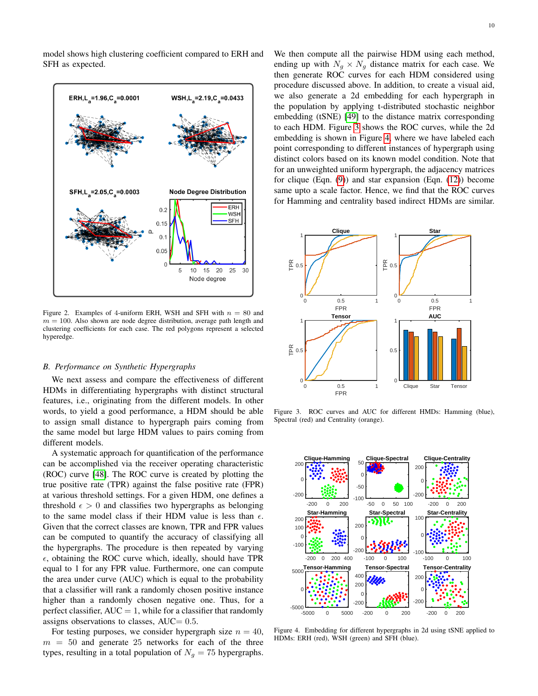model shows high clustering coefficient compared to ERH and SFH as expected.



<span id="page-9-0"></span>Figure 2. Examples of 4-uniform ERH, WSH and SFH with  $n = 80$  and  $m = 100$ . Also shown are node degree distribution, average path length and clustering coefficients for each case. The red polygons represent a selected hyperedge.

#### *B. Performance on Synthetic Hypergraphs*

We next assess and compare the effectiveness of different HDMs in differentiating hypergraphs with distinct structural features, i.e., originating from the different models. In other words, to yield a good performance, a HDM should be able to assign small distance to hypergraph pairs coming from the same model but large HDM values to pairs coming from different models.

A systematic approach for quantification of the performance can be accomplished via the receiver operating characteristic (ROC) curve [\[48\]](#page-13-29). The ROC curve is created by plotting the true positive rate (TPR) against the false positive rate (FPR) at various threshold settings. For a given HDM, one defines a threshold  $\epsilon > 0$  and classifies two hypergraphs as belonging to the same model class if their HDM value is less than  $\epsilon$ . Given that the correct classes are known, TPR and FPR values can be computed to quantify the accuracy of classifying all the hypergraphs. The procedure is then repeated by varying  $\epsilon$ , obtaining the ROC curve which, ideally, should have TPR equal to 1 for any FPR value. Furthermore, one can compute the area under curve (AUC) which is equal to the probability that a classifier will rank a randomly chosen positive instance higher than a randomly chosen negative one. Thus, for a perfect classifier,  $AUC = 1$ , while for a classifier that randomly assigns observations to classes,  $AUC = 0.5$ .

For testing purposes, we consider hypergraph size  $n = 40$ ,  $m = 50$  and generate 25 networks for each of the three types, resulting in a total population of  $N<sub>q</sub> = 75$  hypergraphs. We then compute all the pairwise HDM using each method, ending up with  $N_q \times N_q$  distance matrix for each case. We then generate ROC curves for each HDM considered using procedure discussed above. In addition, to create a visual aid, we also generate a 2d embedding for each hypergraph in the population by applying t-distributed stochastic neighbor embedding (tSNE) [\[49\]](#page-13-30) to the distance matrix corresponding to each HDM. Figure [3](#page-9-1) shows the ROC curves, while the 2d embedding is shown in Figure [4,](#page-9-2) where we have labeled each point corresponding to different instances of hypergraph using distinct colors based on its known model condition. Note that for an unweighted uniform hypergraph, the adjacency matrices for clique (Eqn. [\(9\)](#page-4-1)) and star expansion (Eqn. [\(12\)](#page-5-2)) become same upto a scale factor. Hence, we find that the ROC curves for Hamming and centrality based indirect HDMs are similar.



<span id="page-9-1"></span>Figure 3. ROC curves and AUC for different HMDs: Hamming (blue), Spectral (red) and Centrality (orange).



<span id="page-9-2"></span>Figure 4. Embedding for different hypergraphs in 2d using tSNE applied to HDMs: ERH (red), WSH (green) and SFH (blue).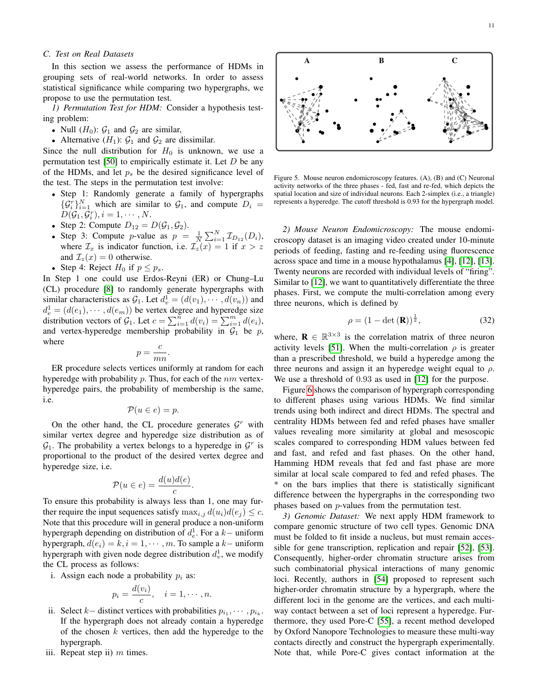## *C. Test on Real Datasets*

In this section we assess the performance of HDMs in grouping sets of real-world networks. In order to assess statistical significance while comparing two hypergraphs, we propose to use the permutation test.

*1) Permutation Test for HDM:* Consider a hypothesis testing problem:

- Null  $(H_0)$ :  $G_1$  and  $G_2$  are similar,
- Alternative  $(H_1)$ :  $G_1$  and  $G_2$  are dissimilar.

Since the null distribution for  $H_0$  is unknown, we use a permutation test [\[50\]](#page-13-31) to empirically estimate it. Let  $D$  be any of the HDMs, and let  $p<sub>s</sub>$  be the desired significance level of the test. The steps in the permutation test involve:

- Step 1: Randomly generate a family of hypergraphs  $\{\mathcal{G}_i^r\}_{i=1}^N$  which are similar to  $\mathcal{G}_1$ , and compute  $D_i =$  $D(\mathcal{G}_1, \mathcal{G}_i^r), i = 1, \cdots, N.$
- Step 2: Compute  $D_{12} = D(\mathcal{G}_1, \mathcal{G}_2)$ .
- Step 3: Compute p-value as  $p = \frac{1}{N} \sum_{i=1}^{N} \mathcal{I}_{D_{12}}(D_i)$ , where  $\mathcal{I}_x$  is indicator function, i.e.  $\mathcal{I}_z(x) = 1$  if  $x > z$ and  $\mathcal{I}_z(x) = 0$  otherwise.
- Step 4: Reject  $H_0$  if  $p \leq p_s$ .

In Step 1 one could use Erdos-Reyni (ER) or Chung–Lu (CL) procedure [\[8\]](#page-12-7) to randomly generate hypergraphs with similar characteristics as  $G_1$ . Let  $d_v^1 = (d(v_1), \dots, d(v_n))$  and  $d_e^1 = (d(e_1), \cdots, d(e_m))$  be vertex degree and hyperedge size distribution vectors of  $\mathcal{G}_1$ . Let  $c = \sum_{i=1}^n d(v_i) = \sum_{i=1}^m d(e_i)$ , and vertex-hyperedge membership probability in  $G_1$  be p, where c

$$
p = \frac{c}{mn}.
$$

ER procedure selects vertices uniformly at random for each hyperedge with probability  $p$ . Thus, for each of the  $nm$  vertexhyperedge pairs, the probability of membership is the same, i.e.

$$
\mathcal{P}(u \in e) = p.
$$

On the other hand, the CL procedure generates  $\mathcal{G}^r$  with similar vertex degree and hyperedge size distribution as of  $\mathcal{G}_1$ . The probability a vertex belongs to a hyperedge in  $\mathcal{G}^r$  is proportional to the product of the desired vertex degree and hyperedge size, i.e.

$$
\mathcal{P}(u \in e) = \frac{d(u)d(e)}{c}
$$

.

To ensure this probability is always less than 1, one may further require the input sequences satisfy  $\max_{i,j} d(u_i)d(e_j) \leq c$ . Note that this procedure will in general produce a non-uniform hypergraph depending on distribution of  $d_e^1$ . For a k– uniform hypergraph,  $d(e_i) = k, i = 1, \dots, m$ . To sample a k– uniform hypergraph with given node degree distribution  $d_v^1$ , we modify the CL process as follows:

i. Assign each node a probability  $p_i$  as:

$$
p_i = \frac{d(v_i)}{c}, \quad i = 1, \cdots, n.
$$

- ii. Select  $k-$  distinct vertices with probabilities  $p_{i_1}, \dots, p_{i_k}$ . If the hypergraph does not already contain a hyperedge of the chosen  $k$  vertices, then add the hyperedge to the hypergraph.
- iii. Repeat step ii)  $m$  times.



Figure 5. Mouse neuron endomicroscopy features. (A), (B) and (C) Neuronal activity networks of the three phases - fed, fast and re-fed, which depicts the spatial location and size of individual neurons. Each 2-simplex (i.e., a triangle) represents a hyperedge. The cutoff threshold is 0.93 for the hypergraph model.

*2) Mouse Neuron Endomicroscopy:* The mouse endomicroscopy dataset is an imaging video created under 10-minute periods of feeding, fasting and re-feeding using fluorescence across space and time in a mouse hypothalamus [\[4\]](#page-12-1), [\[12\]](#page-12-11), [\[13\]](#page-12-12). Twenty neurons are recorded with individual levels of "firing". Similar to [\[12\]](#page-12-11), we want to quantitatively differentiate the three phases. First, we compute the multi-correlation among every three neurons, which is defined by

$$
\rho = (1 - \det(\mathbf{R}))^{\frac{1}{2}},\tag{32}
$$

where,  $\mathbf{R} \in \mathbb{R}^{3 \times 3}$  is the correlation matrix of three neuron activity levels [\[51\]](#page-13-32). When the multi-correlation  $\rho$  is greater than a prescribed threshold, we build a hyperedge among the three neurons and assign it an hyperedge weight equal to  $\rho$ . We use a threshold of 0.93 as used in [\[12\]](#page-12-11) for the purpose.

Figure [6](#page-11-1) shows the comparison of hypergraph corresponding to different phases using various HDMs. We find similar trends using both indirect and direct HDMs. The spectral and centrality HDMs between fed and refed phases have smaller values revealing more similarity at global and mesoscopic scales compared to corresponding HDM values between fed and fast, and refed and fast phases. On the other hand, Hamming HDM reveals that fed and fast phase are more similar at local scale compared to fed and refed phases. The \* on the bars implies that there is statistically significant difference between the hypergraphs in the corresponding two phases based on p-values from the permutation test.

*3) Genomic Dataset:* We next apply HDM framework to compare genomic structure of two cell types. Genomic DNA must be folded to fit inside a nucleus, but must remain accessible for gene transcription, replication and repair [\[52\]](#page-13-33), [\[53\]](#page-13-34). Consequently, higher-order chromatin structure arises from such combinatorial physical interactions of many genomic loci. Recently, authors in [\[54\]](#page-13-35) proposed to represent such higher-order chromatin structure by a hypergraph, where the different loci in the genome are the vertices, and each multiway contact between a set of loci represent a hyperedge. Furthermore, they used Pore-C [\[55\]](#page-13-36), a recent method developed by Oxford Nanopore Technologies to measure these multi-way contacts directly and construct the hypergraph experimentally. Note that, while Pore-C gives contact information at the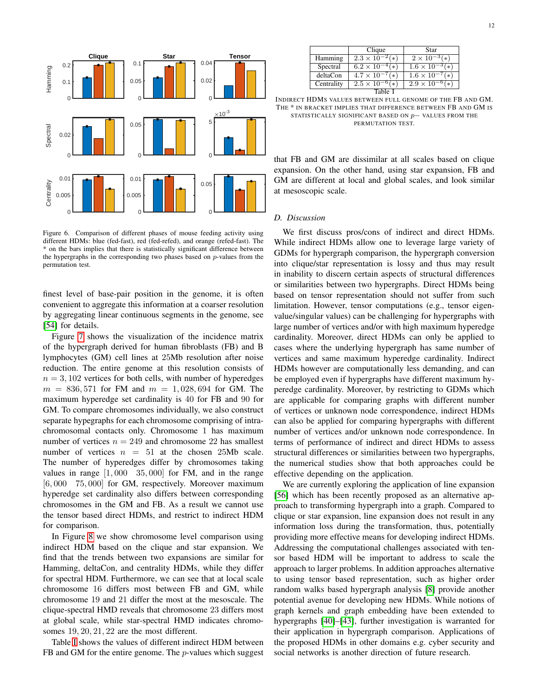

<span id="page-11-1"></span>Figure 6. Comparison of different phases of mouse feeding activity using different HDMs: blue (fed-fast), red (fed-refed), and orange (refed-fast). The \* on the bars implies that there is statistically significant difference between the hypergraphs in the corresponding two phases based on  $p$ -values from the permutation test.

finest level of base-pair position in the genome, it is often convenient to aggregate this information at a coarser resolution by aggregating linear continuous segments in the genome, see [\[54\]](#page-13-35) for details.

Figure [7](#page-12-18) shows the visualization of the incidence matrix of the hypergraph derived for human fibroblasts (FB) and B lymphocytes (GM) cell lines at 25Mb resolution after noise reduction. The entire genome at this resolution consists of  $n = 3,102$  vertices for both cells, with number of hyperedges  $m = 836,571$  for FM and  $m = 1,028,694$  for GM. The maximum hyperedge set cardinality is 40 for FB and 90 for GM. To compare chromosomes individually, we also construct separate hypegraphs for each chromosome comprising of intrachromosomal contacts only. Chromosome 1 has maximum number of vertices  $n = 249$  and chromosome 22 has smallest number of vertices  $n = 51$  at the chosen 25Mb scale. The number of hyperedges differ by chromosomes taking values in range  $[1,000 \quad 35,000]$  for FM, and in the range [6,000 75,000] for GM, respectively. Moreover maximum hyperedge set cardinality also differs between corresponding chromosomes in the GM and FB. As a result we cannot use the tensor based direct HDMs, and restrict to indirect HDM for comparison.

In Figure [8](#page-12-19) we show chromosome level comparison using indirect HDM based on the clique and star expansion. We find that the trends between two expansions are similar for Hamming, deltaCon, and centrality HDMs, while they differ for spectral HDM. Furthermore, we can see that at local scale chromosome 16 differs most between FB and GM, while chromosome 19 and 21 differ the most at the mesoscale. The clique-spectral HMD reveals that chromosome 23 differs most at global scale, while star-spectral HMD indicates chromosomes 19, 20, 21, 22 are the most different.

Table [I](#page-11-2) shows the values of different indirect HDM between FB and GM for the entire genome. The *p*-values which suggest

|            | Clique                            | Star                           |
|------------|-----------------------------------|--------------------------------|
| Hamming    | $2.3 \times 10^{-7}$<br>∫∗        | $2 \times 10^{-3}$ (*)         |
| Spectral   | $6.2 \times 10^{-7}$<br>$\ast$    | $1.6 \times 10^{-7}$<br>$\ast$ |
| deltaCon   | $4.7 \times 10^{-7}$<br>$\cdot *$ | $1.6 \times 10^{-7}$<br>$*$    |
| Centrality | $2.5 \times 10^{-7}$<br>$\ast$    | $2.9 \times 10^{-7}$<br>$\ast$ |
|            |                                   |                                |

<span id="page-11-2"></span>INDIRECT HDMS VALUES BETWEEN FULL GENOME OF THE FB AND GM. THE \* IN BRACKET IMPLIES THAT DIFFERENCE BETWEEN FB AND GM IS STATISTICALLY SIGNIFICANT BASED ON p− VALUES FROM THE PERMUTATION TEST.

that FB and GM are dissimilar at all scales based on clique expansion. On the other hand, using star expansion, FB and GM are different at local and global scales, and look similar at mesoscopic scale.

## <span id="page-11-0"></span>*D. Discussion*

We first discuss pros/cons of indirect and direct HDMs. While indirect HDMs allow one to leverage large variety of GDMs for hypergraph comparison, the hypergraph conversion into clique/star representation is lossy and thus may result in inability to discern certain aspects of structural differences or similarities between two hypergraphs. Direct HDMs being based on tensor representation should not suffer from such limitation. However, tensor computations (e.g., tensor eigenvalue/singular values) can be challenging for hypergraphs with large number of vertices and/or with high maximum hyperedge cardinality. Moreover, direct HDMs can only be applied to cases where the underlying hypergraph has same number of vertices and same maximum hyperedge cardinality. Indirect HDMs however are computationally less demanding, and can be employed even if hypergraphs have different maximum hyperedge cardinality. Moreover, by restricting to GDMs which are applicable for comparing graphs with different number of vertices or unknown node correspondence, indirect HDMs can also be applied for comparing hypergraphs with different number of vertices and/or unknown node correspondence. In terms of performance of indirect and direct HDMs to assess structural differences or similarities between two hypergraphs, the numerical studies show that both approaches could be effective depending on the application.

We are currently exploring the application of line expansion [\[56\]](#page-13-37) which has been recently proposed as an alternative approach to transforming hypergraph into a graph. Compared to clique or star expansion, line expansion does not result in any information loss during the transformation, thus, potentially providing more effective means for developing indirect HDMs. Addressing the computational challenges associated with tensor based HDM will be important to address to scale the approach to larger problems. In addition approaches alternative to using tensor based representation, such as higher order random walks based hypergraph analysis [\[8\]](#page-12-7) provide another potential avenue for developing new HDMs. While notions of graph kernels and graph embedding have been extended to hypergraphs [\[40\]](#page-13-21)–[\[43\]](#page-13-24), further investigation is warranted for their application in hypergraph comparison. Applications of the proposed HDMs in other domains e.g. cyber security and social networks is another direction of future research.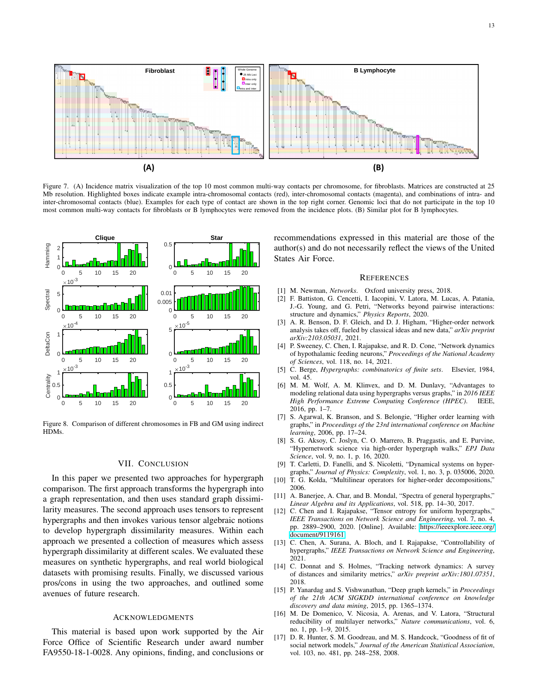

13



<span id="page-12-18"></span>Figure 7. (A) Incidence matrix visualization of the top 10 most common multi-way contacts per chromosome, for fibroblasts. Matrices are constructed at 25 Mb resolution. Highlighted boxes indicate example intra-chromosomal contacts (red), inter-chromosomal contacts (magenta), and combinations of intra- and inter-chromosomal contacts (blue). Examples for each type of contact are shown in the top right corner. Genomic loci that do not participate in the top 10 most common multi-way contacts for fibroblasts or B lymphocytes were removed from the incidence plots. (B) Similar plot for B lymphocytes.



<span id="page-12-19"></span>Figure 8. Comparison of different chromosomes in FB and GM using indirect HDMs.

#### VII. CONCLUSION

<span id="page-12-17"></span>In this paper we presented two approaches for hypergraph comparison. The first approach transforms the hypergraph into a graph representation, and then uses standard graph dissimilarity measures. The second approach uses tensors to represent hypergraphs and then invokes various tensor algebraic notions to develop hypergraph dissimilarity measures. Within each approach we presented a collection of measures which assess hypergraph dissimilarity at different scales. We evaluated these measures on synthetic hypergraphs, and real world biological datasets with promising results. Finally, we discussed various pros/cons in using the two approaches, and outlined some avenues of future research.

#### **ACKNOWLEDGMENTS**

This material is based upon work supported by the Air Force Office of Scientific Research under award number FA9550-18-1-0028. Any opinions, finding, and conclusions or recommendations expressed in this material are those of the author(s) and do not necessarily reflect the views of the United States Air Force.

#### **REFERENCES**

- <span id="page-12-0"></span>[1] M. Newman, *Networks*. Oxford university press, 2018.
- <span id="page-12-4"></span>[2] F. Battiston, G. Cencetti, I. Iacopini, V. Latora, M. Lucas, A. Patania, J.-G. Young, and G. Petri, "Networks beyond pairwise interactions: structure and dynamics," *Physics Reports*, 2020.
- <span id="page-12-5"></span>[3] A. R. Benson, D. F. Gleich, and D. J. Higham, "Higher-order network analysis takes off, fueled by classical ideas and new data," *arXiv preprint arXiv:2103.05031*, 2021.
- <span id="page-12-1"></span>[4] P. Sweeney, C. Chen, I. Rajapakse, and R. D. Cone, "Network dynamics" of hypothalamic feeding neurons," *Proceedings of the National Academy of Sciences*, vol. 118, no. 14, 2021.
- <span id="page-12-2"></span>[5] C. Berge, *Hypergraphs: combinatorics of finite sets*. Elsevier, 1984, vol. 45.
- <span id="page-12-3"></span>[6] M. M. Wolf, A. M. Klinvex, and D. M. Dunlavy, "Advantages to modeling relational data using hypergraphs versus graphs," in *2016 IEEE High Performance Extreme Computing Conference (HPEC)*. IEEE, 2016, pp. 1–7.
- <span id="page-12-6"></span>[7] S. Agarwal, K. Branson, and S. Belongie, "Higher order learning with graphs," in *Proceedings of the 23rd international conference on Machine learning*, 2006, pp. 17–24.
- <span id="page-12-7"></span>[8] S. G. Aksoy, C. Joslyn, C. O. Marrero, B. Praggastis, and E. Purvine, "Hypernetwork science via high-order hypergraph walks," *EPJ Data Science*, vol. 9, no. 1, p. 16, 2020.
- <span id="page-12-8"></span>[9] T. Carletti, D. Fanelli, and S. Nicoletti, "Dynamical systems on hypergraphs," *Journal of Physics: Complexity*, vol. 1, no. 3, p. 035006, 2020.
- <span id="page-12-9"></span>[10] T. G. Kolda, "Multilinear operators for higher-order decompositions," 2006.
- <span id="page-12-10"></span>[11] A. Banerjee, A. Char, and B. Mondal, "Spectra of general hypergraphs," *Linear Algebra and its Applications*, vol. 518, pp. 14–30, 2017.
- <span id="page-12-11"></span>[12] C. Chen and I. Rajapakse, "Tensor entropy for uniform hypergraphs," *IEEE Transactions on Network Science and Engineering*, vol. 7, no. 4, pp. 2889–2900, 2020. [Online]. Available: [https://ieeexplore.ieee.org/](https://ieeexplore.ieee.org/document/9119161) [document/9119161](https://ieeexplore.ieee.org/document/9119161)
- <span id="page-12-12"></span>[13] C. Chen, A. Surana, A. Bloch, and I. Rajapakse, "Controllability of hypergraphs," *IEEE Transactions on Network Science and Engineering*, 2021.
- <span id="page-12-13"></span>[14] C. Donnat and S. Holmes, "Tracking network dynamics: A survey of distances and similarity metrics," *arXiv preprint arXiv:1801.07351*, 2018.
- <span id="page-12-14"></span>[15] P. Yanardag and S. Vishwanathan, "Deep graph kernels," in *Proceedings of the 21th ACM SIGKDD international conference on knowledge discovery and data mining*, 2015, pp. 1365–1374.
- <span id="page-12-15"></span>[16] M. De Domenico, V. Nicosia, A. Arenas, and V. Latora, "Structural reducibility of multilayer networks," *Nature communications*, vol. 6, no. 1, pp. 1–9, 2015.
- <span id="page-12-16"></span>[17] D. R. Hunter, S. M. Goodreau, and M. S. Handcock, "Goodness of fit of social network models," *Journal of the American Statistical Association*, vol. 103, no. 481, pp. 248–258, 2008.